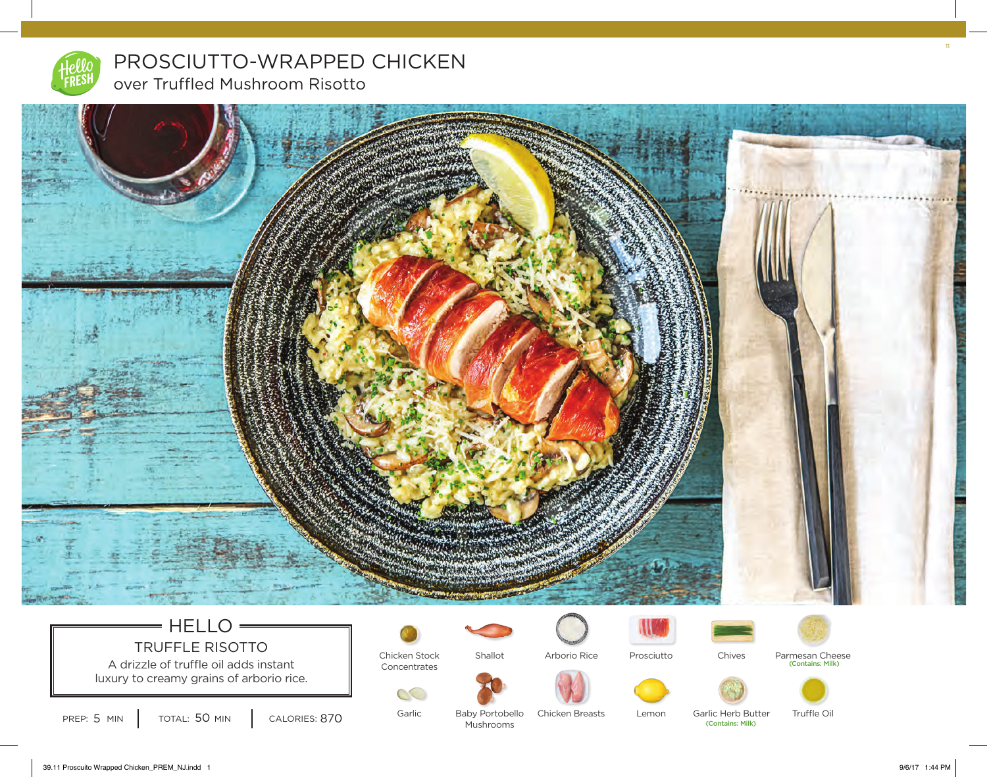

PROSCIUTTO-WRAPPED CHICKEN over Truffled Mushroom Risotto



# $=$  HELLO  $=$ TRUFFLE RISOTTO

A drizzle of truffle oil adds instant Concentrates luxury to creamy grains of arborio rice.



Shallot



Prosciutto





Parmesan Cheese<br>
(Contains: Milk)



PREP:  $5$  MIN  $\vert$  total:  $50$  MIN  $\vert$  calories:  $870$ 

Garlic

S

Baby Portobello Mushrooms Chicken Breasts

Lemon

(Contains: Milk) Garlic Herb Butter

Truffle Oil

11